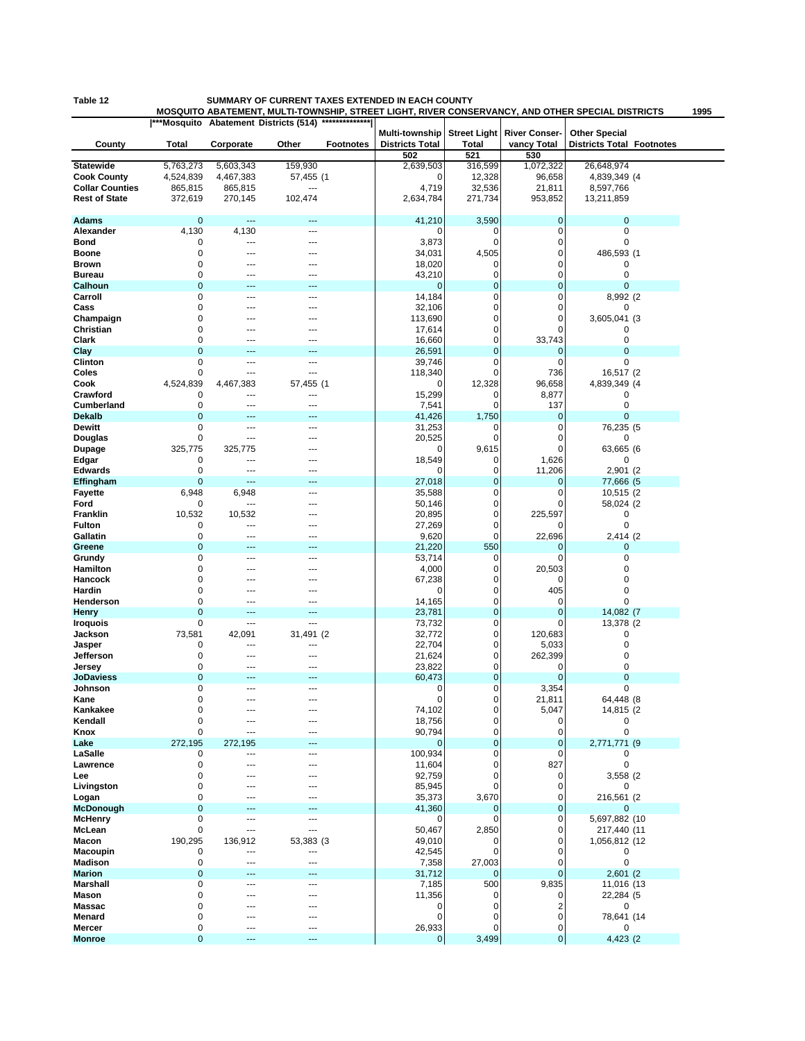## **Table 12 SUMMARY OF CURRENT TAXES EXTENDED IN EACH COUNTY**

**MOSQUITO ABATEMENT, MULTI-TOWNSHIP, STREET LIGHT, RIVER CONSERVANCY, AND OTHER SPECIAL DISTRICTS 1995**

|                        |             |                | ***Mosquito Abatement Districts (514) | **************   |                                          |                                     |                                     |                                                          |  |
|------------------------|-------------|----------------|---------------------------------------|------------------|------------------------------------------|-------------------------------------|-------------------------------------|----------------------------------------------------------|--|
| County                 | Total       | Corporate      | Other                                 | <b>Footnotes</b> | Multi-township<br><b>Districts Total</b> | <b>Street Light</b><br><b>Total</b> | <b>River Conser-</b><br>vancy Total | <b>Other Special</b><br><b>Districts Total Footnotes</b> |  |
|                        |             |                |                                       |                  | 502                                      | 521                                 | 530                                 |                                                          |  |
| <b>Statewide</b>       | 5,763,273   | 5,603,343      | 159,930                               |                  | 2,639,503                                | 316,599                             | 1,072,322                           | 26,648,974                                               |  |
| <b>Cook County</b>     | 4,524,839   | 4,467,383      | 57,455 (1                             |                  | 0                                        | 12,328                              | 96,658                              | 4,839,349 (4                                             |  |
| <b>Collar Counties</b> | 865,815     | 865,815        | ---                                   |                  | 4,719                                    | 32,536                              | 21,811                              | 8,597,766                                                |  |
| <b>Rest of State</b>   | 372,619     | 270,145        | 102,474                               |                  | 2,634,784                                | 271,734                             | 953,852                             | 13,211,859                                               |  |
|                        |             |                |                                       |                  |                                          |                                     |                                     |                                                          |  |
| <b>Adams</b>           | $\mathbf 0$ | ---            | 44                                    |                  | 41,210                                   | 3,590                               | $\mathbf 0$                         | $\mathbf 0$                                              |  |
| Alexander              | 4,130       | 4,130          | ---                                   |                  | 0                                        | 0                                   | 0                                   | 0                                                        |  |
| Bond                   | 0           | ---            | ---                                   |                  | 3,873                                    | 0                                   | $\mathbf 0$                         | 0                                                        |  |
| Boone                  | 0           | ---            | ---                                   |                  | 34,031                                   | 4,505                               | 0                                   | 486,593 (1                                               |  |
| Brown                  | 0           |                | ---                                   |                  | 18,020                                   | 0                                   | 0                                   | 0                                                        |  |
| <b>Bureau</b>          | 0           |                |                                       |                  | 43,210                                   | 0                                   | 0                                   | 0                                                        |  |
| Calhoun                | $\mathbf 0$ |                |                                       |                  | $\mathbf 0$                              | $\pmb{0}$                           | 0                                   | $\mathbf 0$                                              |  |
| Carroll                | 0           | ---            | ---                                   |                  | 14,184                                   | 0                                   | 0                                   | 8,992 (2                                                 |  |
| Cass                   | 0           |                |                                       |                  | 32,106                                   | 0                                   | 0                                   | 0                                                        |  |
|                        | 0           |                |                                       |                  |                                          | 0                                   | 0                                   | 3,605,041 (3                                             |  |
| Champaign              |             |                |                                       |                  | 113,690                                  |                                     |                                     |                                                          |  |
| Christian              | 0           |                |                                       |                  | 17,614                                   | 0                                   | 0                                   | 0                                                        |  |
| Clark                  | 0           |                | ---                                   |                  | 16,660                                   | 0                                   | 33,743                              | 0                                                        |  |
| Clay                   | $\mathbf 0$ |                | 44                                    |                  | 26,591                                   | $\mathbf 0$                         | $\mathbf 0$                         | $\overline{0}$                                           |  |
| Clinton                | 0           | ---            | $---$                                 |                  | 39,746                                   | 0                                   | 0                                   | 0                                                        |  |
| Coles                  | 0           | ---            | ---                                   |                  | 118,340                                  | 0                                   | 736                                 | 16,517 (2                                                |  |
| Cook                   | 4,524,839   | 4,467,383      | 57,455 (1                             |                  | 0                                        | 12,328                              | 96,658                              | 4,839,349 (4                                             |  |
| Crawford               | 0           | ---            | ---                                   |                  | 15,299                                   | 0                                   | 8,877                               | 0                                                        |  |
| <b>Cumberland</b>      | 0           | ---            | ---                                   |                  | 7,541                                    | 0                                   | 137                                 | 0                                                        |  |
| <b>Dekalb</b>          | $\mathbf 0$ |                |                                       |                  | 41,426                                   | 1,750                               | $\mathbf{0}$                        | $\mathbf{0}$                                             |  |
| <b>Dewitt</b>          | 0           | ---            | ---                                   |                  | 31,253                                   | 0                                   | 0                                   | 76,235 (5                                                |  |
| Douglas                | 0           | ---            | ---                                   |                  | 20,525                                   | $\mathbf 0$                         | 0                                   | 0                                                        |  |
| <b>Dupage</b>          | 325,775     | 325,775        | ---                                   |                  | 0                                        | 9,615                               | 0                                   | 63,665 (6                                                |  |
| Edgar                  | 0           | $\overline{a}$ | ---                                   |                  | 18,549                                   | 0                                   | 1,626                               | 0                                                        |  |
| <b>Edwards</b>         | 0           | $\sim$         | $\sim$                                |                  | 0                                        | 0                                   | 11,206                              | 2,901 (2)                                                |  |
| Effingham              | $\mathbf 0$ | ---            | ---                                   |                  | 27,018                                   | $\pmb{0}$                           | $\mathbf 0$                         | 77,666 (5                                                |  |
| <b>Fayette</b>         | 6,948       | 6,948          | ---                                   |                  | 35,588                                   | 0                                   | $\mathbf 0$                         | 10,515 (2                                                |  |
| Ford                   | 0           | ---            |                                       |                  | 50,146                                   | 0                                   | 0                                   | 58,024 (2)                                               |  |
| Franklin               | 10,532      | 10,532         |                                       |                  | 20,895                                   | 0                                   | 225,597                             | 0                                                        |  |
| <b>Fulton</b>          | 0           | $\overline{a}$ | ---                                   |                  | 27,269                                   | 0                                   |                                     | 0                                                        |  |
| Gallatin               | 0           | ---            | ---                                   |                  | 9,620                                    | 0                                   | 22,696                              | 2,414 (2)                                                |  |
| Greene                 | $\mathbf 0$ |                |                                       |                  | 21,220                                   | 550                                 | $\mathbf{0}$                        | 0                                                        |  |
| Grundy                 | 0           | ---            | ---                                   |                  | 53,714                                   | 0                                   | 0                                   | 0                                                        |  |
| Hamilton               | 0           |                | ---                                   |                  | 4,000                                    | 0                                   | 20,503                              | 0                                                        |  |
| Hancock                | 0           |                |                                       |                  | 67,238                                   | 0                                   | $\mathbf 0$                         | 0                                                        |  |
| Hardin                 | 0           |                |                                       |                  | 0                                        | 0                                   | 405                                 | 0                                                        |  |
| Henderson              | 0           |                |                                       |                  |                                          | 0                                   | $\mathbf 0$                         | $\mathbf 0$                                              |  |
| Henry                  | $\mathbf 0$ | $---$          | ---                                   |                  | 14,165<br>23,781                         | $\mathbf 0$                         | $\mathbf 0$                         | 14,082 (7                                                |  |
|                        | 0           | ---            | ---                                   |                  |                                          | 0                                   | 0                                   |                                                          |  |
| <b>Iroquois</b>        |             |                |                                       |                  | 73,732                                   |                                     |                                     | 13,378 (2                                                |  |
| Jackson                | 73,581      | 42,091         | 31,491 (2                             |                  | 32,772                                   | 0                                   | 120,683                             | 0                                                        |  |
| Jasper                 | 0           | ---            |                                       |                  | 22,704                                   | 0                                   | 5,033                               | 0                                                        |  |
| Jefferson              | 0           | ---            | ---                                   |                  | 21,624                                   | 0                                   | 262,399                             | 0                                                        |  |
| Jersey                 | 0           | ---            | ---                                   |                  | 23,822                                   | 0                                   | 0                                   | $\mathbf 0$                                              |  |
| <b>JoDaviess</b>       | $\mathbf 0$ |                | ---                                   |                  | 60,473                                   | $\pmb{0}$                           | $\mathbf{0}$                        | 0                                                        |  |
| Johnson                | 0           |                |                                       |                  | 0                                        | 0                                   | 3,354                               | $\mathbf 0$                                              |  |
| Kane                   | $\Omega$    | $\overline{a}$ | $\overline{a}$                        |                  | 0                                        | 0                                   | 21,811                              | 64,448 (8                                                |  |
| Kankakee               | 0           |                |                                       |                  | 74,102                                   | 0                                   | 5,047                               | 14,815 (2                                                |  |
| Kendall                | 0           | ---            | ---                                   |                  | 18,756                                   | 0                                   | 0                                   | 0                                                        |  |
| Knox                   | 0           | $\overline{a}$ | ---                                   |                  | 90,794                                   | 0                                   | 0                                   | $\pmb{0}$                                                |  |
| Lake                   | 272,195     | 272,195        |                                       |                  | $\mathbf 0$                              | $\pmb{0}$                           | $\mathbf 0$                         | 2,771,771 (9                                             |  |
| LaSalle                | 0           | $\overline{a}$ | ---                                   |                  | 100,934                                  | 0                                   | 0                                   | 0                                                        |  |
| Lawrence               | 0           |                | ---                                   |                  | 11,604                                   | 0                                   | 827                                 | 0                                                        |  |
| Lee                    | 0           |                |                                       |                  | 92,759                                   | 0                                   | 0                                   | 3,558 (2)                                                |  |
| Livingston             | 0           |                |                                       |                  | 85,945                                   | 0                                   | $\mathbf 0$                         | 0                                                        |  |
| Logan                  | 0           |                | ---                                   |                  | 35,373                                   | 3,670                               | 0                                   | 216,561 (2                                               |  |
| McDonough              | $\mathbf 0$ |                | ---                                   |                  | 41,360                                   | 0                                   | $\mathbf 0$                         | 0                                                        |  |
| <b>McHenry</b>         | 0           | $---$          | ---                                   |                  | $\mathbf 0$                              | 0                                   | $\mathbf 0$                         | 5,697,882 (10                                            |  |
| McLean                 | $\mathbf 0$ | ---            | ---                                   |                  | 50,467                                   | 2,850                               | 0                                   | 217,440 (11                                              |  |
| Macon                  | 190,295     | 136,912        | 53,383 (3                             |                  | 49,010                                   | 0                                   | $\mathbf 0$                         | 1,056,812 (12                                            |  |
| Macoupin               | 0           | ---            | ---                                   |                  | 42,545                                   | 0                                   | $\mathbf 0$                         | 0                                                        |  |
| Madison                | 0           | ---            | ---                                   |                  | 7,358                                    | 27,003                              | 0                                   | $\pmb{0}$                                                |  |
| <b>Marion</b>          | $\mathbf 0$ |                |                                       |                  | 31,712                                   | $\mathbf 0$                         | $\mathbf{0}$                        | 2,601(2)                                                 |  |
| Marshall               | $\mathbf 0$ | ---            | $---$                                 |                  | 7,185                                    | 500                                 | 9,835                               | 11,016 (13                                               |  |
| Mason                  | 0           |                | ---                                   |                  | 11,356                                   | 0                                   | 0                                   | 22,284 (5                                                |  |
| Massac                 | 0           |                | ---                                   |                  | 0                                        | 0                                   | 2                                   | 0                                                        |  |
| Menard                 | 0           |                |                                       |                  | $\mathbf 0$                              | 0                                   | 0                                   | 78,641 (14                                               |  |
| Mercer                 | 0           | ---            | $---$                                 |                  | 26,933                                   | 0                                   | 0                                   | 0                                                        |  |
| <b>Monroe</b>          | $\mathbf 0$ | ---            | ---                                   |                  | $\mathbf 0$                              | 3,499                               | $\pmb{0}$                           | 4,423 (2)                                                |  |
|                        |             |                |                                       |                  |                                          |                                     |                                     |                                                          |  |